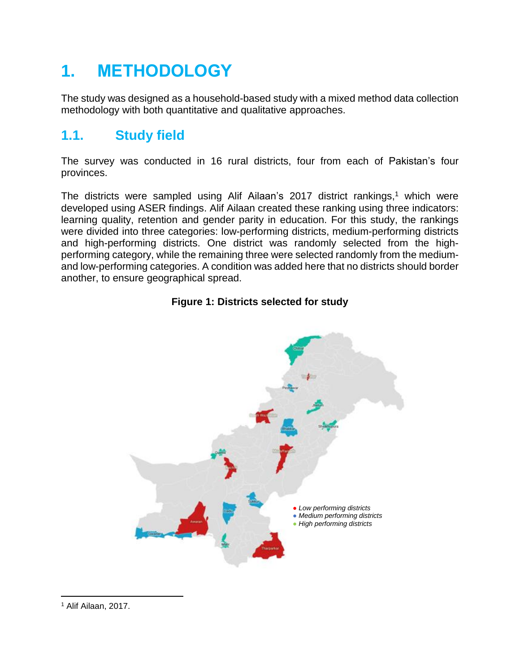# **1. METHODOLOGY**

The study was designed as a household-based study with a mixed method data collection methodology with both quantitative and qualitative approaches.

### **1.1. Study field**

The survey was conducted in 16 rural districts, four from each of Pakistan's four provinces.

The districts were sampled using Alif Ailaan's 2017 district rankings, <sup>1</sup> which were developed using ASER findings. Alif Ailaan created these ranking using three indicators: learning quality, retention and gender parity in education. For this study, the rankings were divided into three categories: low-performing districts, medium-performing districts and high-performing districts. One district was randomly selected from the highperforming category, while the remaining three were selected randomly from the mediumand low-performing categories. A condition was added here that no districts should border another, to ensure geographical spread.

#### **Figure 1: Districts selected for study**



 $\overline{a}$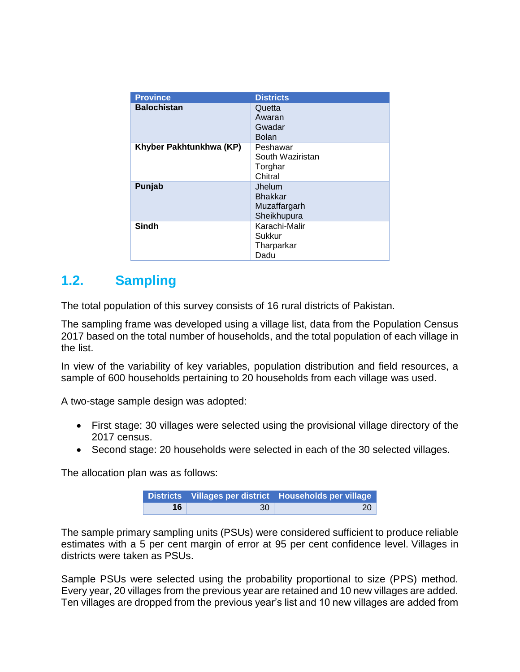| <b>Province</b>         | <b>Districts</b>                                        |
|-------------------------|---------------------------------------------------------|
| <b>Balochistan</b>      | Quetta<br>Awaran<br>Gwadar<br><b>Bolan</b>              |
| Khyber Pakhtunkhwa (KP) | Peshawar<br>South Waziristan<br>Torghar<br>Chitral      |
| Punjab                  | Jhelum<br><b>Bhakkar</b><br>Muzaffargarh<br>Sheikhupura |
| Sindh                   | Karachi-Malir<br>Sukkur<br>Tharparkar<br>Dadu           |

#### **1.2. Sampling**

The total population of this survey consists of 16 rural districts of Pakistan.

The sampling frame was developed using a village list, data from the Population Census 2017 based on the total number of households, and the total population of each village in the list.

In view of the variability of key variables, population distribution and field resources, a sample of 600 households pertaining to 20 households from each village was used.

A two-stage sample design was adopted:

- First stage: 30 villages were selected using the provisional village directory of the 2017 census.
- Second stage: 20 households were selected in each of the 30 selected villages.

The allocation plan was as follows:

|    |    | Districts Villages per district Households per village |
|----|----|--------------------------------------------------------|
| 16 | 30 | 20 <sup>1</sup>                                        |

The sample primary sampling units (PSUs) were considered sufficient to produce reliable estimates with a 5 per cent margin of error at 95 per cent confidence level. Villages in districts were taken as PSUs.

Sample PSUs were selected using the probability proportional to size (PPS) method. Every year, 20 villages from the previous year are retained and 10 new villages are added. Ten villages are dropped from the previous year's list and 10 new villages are added from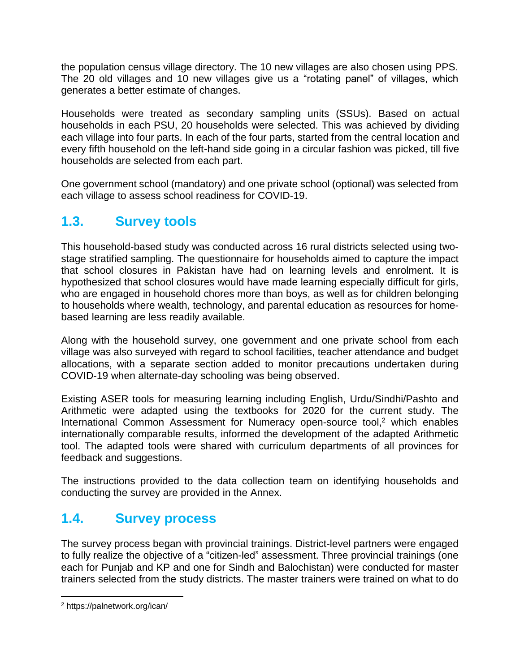the population census village directory. The 10 new villages are also chosen using PPS. The 20 old villages and 10 new villages give us a "rotating panel" of villages, which generates a better estimate of changes.

Households were treated as secondary sampling units (SSUs). Based on actual households in each PSU, 20 households were selected. This was achieved by dividing each village into four parts. In each of the four parts, started from the central location and every fifth household on the left-hand side going in a circular fashion was picked, till five households are selected from each part.

One government school (mandatory) and one private school (optional) was selected from each village to assess school readiness for COVID-19.

## **1.3. Survey tools**

This household-based study was conducted across 16 rural districts selected using twostage stratified sampling. The questionnaire for households aimed to capture the impact that school closures in Pakistan have had on learning levels and enrolment. It is hypothesized that school closures would have made learning especially difficult for girls, who are engaged in household chores more than boys, as well as for children belonging to households where wealth, technology, and parental education as resources for homebased learning are less readily available.

Along with the household survey, one government and one private school from each village was also surveyed with regard to school facilities, teacher attendance and budget allocations, with a separate section added to monitor precautions undertaken during COVID-19 when alternate-day schooling was being observed.

Existing ASER tools for measuring learning including English, Urdu/Sindhi/Pashto and Arithmetic were adapted using the textbooks for 2020 for the current study. The International Common Assessment for Numeracy open-source tool, $2$  which enables internationally comparable results, informed the development of the adapted Arithmetic tool. The adapted tools were shared with curriculum departments of all provinces for feedback and suggestions.

The instructions provided to the data collection team on identifying households and conducting the survey are provided in the Annex.

### **1.4. Survey process**

The survey process began with provincial trainings. District-level partners were engaged to fully realize the objective of a "citizen-led" assessment. Three provincial trainings (one each for Punjab and KP and one for Sindh and Balochistan) were conducted for master trainers selected from the study districts. The master trainers were trained on what to do

 $\overline{a}$ 

<sup>2</sup> https://palnetwork.org/ican/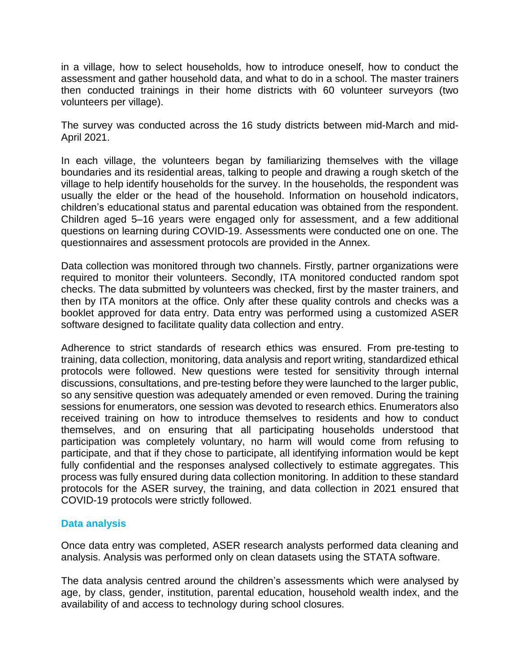in a village, how to select households, how to introduce oneself, how to conduct the assessment and gather household data, and what to do in a school. The master trainers then conducted trainings in their home districts with 60 volunteer surveyors (two volunteers per village).

The survey was conducted across the 16 study districts between mid-March and mid-April 2021.

In each village, the volunteers began by familiarizing themselves with the village boundaries and its residential areas, talking to people and drawing a rough sketch of the village to help identify households for the survey. In the households, the respondent was usually the elder or the head of the household. Information on household indicators, children's educational status and parental education was obtained from the respondent. Children aged 5–16 years were engaged only for assessment, and a few additional questions on learning during COVID-19. Assessments were conducted one on one. The questionnaires and assessment protocols are provided in the Annex.

Data collection was monitored through two channels. Firstly, partner organizations were required to monitor their volunteers. Secondly, ITA monitored conducted random spot checks. The data submitted by volunteers was checked, first by the master trainers, and then by ITA monitors at the office. Only after these quality controls and checks was a booklet approved for data entry. Data entry was performed using a customized ASER software designed to facilitate quality data collection and entry.

Adherence to strict standards of research ethics was ensured. From pre-testing to training, data collection, monitoring, data analysis and report writing, standardized ethical protocols were followed. New questions were tested for sensitivity through internal discussions, consultations, and pre-testing before they were launched to the larger public, so any sensitive question was adequately amended or even removed. During the training sessions for enumerators, one session was devoted to research ethics. Enumerators also received training on how to introduce themselves to residents and how to conduct themselves, and on ensuring that all participating households understood that participation was completely voluntary, no harm will would come from refusing to participate, and that if they chose to participate, all identifying information would be kept fully confidential and the responses analysed collectively to estimate aggregates. This process was fully ensured during data collection monitoring. In addition to these standard protocols for the ASER survey, the training, and data collection in 2021 ensured that COVID-19 protocols were strictly followed.

#### **Data analysis**

Once data entry was completed, ASER research analysts performed data cleaning and analysis. Analysis was performed only on clean datasets using the STATA software.

The data analysis centred around the children's assessments which were analysed by age, by class, gender, institution, parental education, household wealth index, and the availability of and access to technology during school closures.